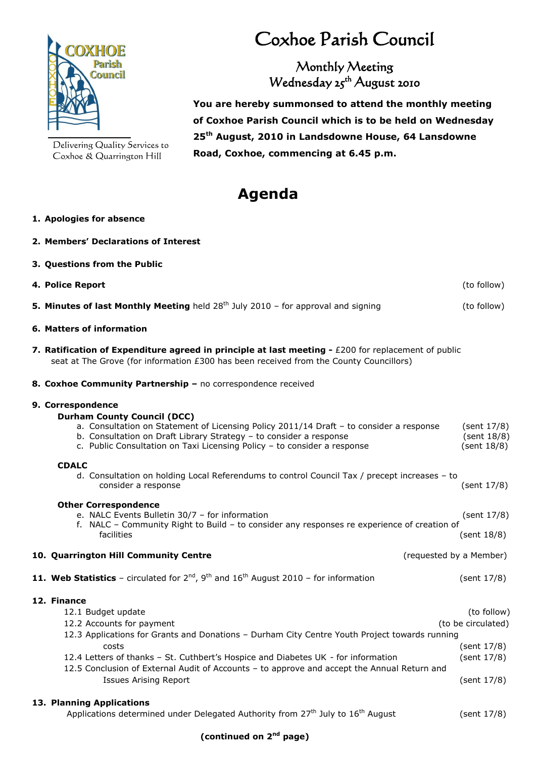

Delivering Quality Services to Coxhoe & Quarrington Hill

## Coxhoe Parish Council

Monthly Meeting Wednesday 25<sup>th</sup> August 2010

 **You are hereby summonsed to attend the monthly meeting of Coxhoe Parish Council which is to be held on Wednesday 25 th August, 2010 in Landsdowne House, 64 Lansdowne Road, Coxhoe, commencing at 6.45 p.m.**

## **Agenda**

## **1. Apologies for absence**

**3. Questions from the Public**

**2. Members' Declarations of Interest**

| 4. Police Report                                                                                                                                                                                                                                                                                                                                                                                                                            | (to follow)                                              |
|---------------------------------------------------------------------------------------------------------------------------------------------------------------------------------------------------------------------------------------------------------------------------------------------------------------------------------------------------------------------------------------------------------------------------------------------|----------------------------------------------------------|
| <b>5. Minutes of last Monthly Meeting</b> held $28^{th}$ July 2010 – for approval and signing                                                                                                                                                                                                                                                                                                                                               | (to follow)                                              |
| 6. Matters of information                                                                                                                                                                                                                                                                                                                                                                                                                   |                                                          |
| 7. Ratification of Expenditure agreed in principle at last meeting $-$ £200 for replacement of public<br>seat at The Grove (for information £300 has been received from the County Councillors)                                                                                                                                                                                                                                             |                                                          |
| 8. Coxhoe Community Partnership - no correspondence received                                                                                                                                                                                                                                                                                                                                                                                |                                                          |
| 9. Correspondence<br><b>Durham County Council (DCC)</b><br>a. Consultation on Statement of Licensing Policy 2011/14 Draft - to consider a response<br>b. Consultation on Draft Library Strategy – to consider a response<br>c. Public Consultation on Taxi Licensing Policy - to consider a response<br><b>CDALC</b><br>d. Consultation on holding Local Referendums to control Council Tax / precept increases - to<br>consider a response | (sent 17/8)<br>(sent 18/8)<br>(sent 18/8)<br>(sent 17/8) |
| <b>Other Correspondence</b><br>e. NALC Events Bulletin 30/7 - for information<br>f. NALC - Community Right to Build - to consider any responses re experience of creation of<br>facilities                                                                                                                                                                                                                                                  | (sent 17/8)<br>(sent 18/8)                               |
| 10. Quarrington Hill Community Centre<br>(requested by a Member)                                                                                                                                                                                                                                                                                                                                                                            |                                                          |
| <b>11. Web Statistics</b> – circulated for $2^{nd}$ , $9^{th}$ and $16^{th}$ August 2010 – for information                                                                                                                                                                                                                                                                                                                                  | (sent 17/8)                                              |
| 12. Finance<br>12.1 Budget update                                                                                                                                                                                                                                                                                                                                                                                                           | (to follow)<br>Zuranders in a transaction to all Mini-   |

12.2 Accounts for payment (to be circulated) and the country of the circulated of the circulated of the circulated of the circulated of the circulated of the circulated of the circulated of the circulated of the circulated 12.3 Applications for Grants and Donations – Durham City Centre Youth Project towards running costs (sent 17/8) 12.4 Letters of thanks – St. Cuthbert's Hospice and Diabetes UK - for information (sent 17/8) 12.5 Conclusion of External Audit of Accounts – to approve and accept the Annual Return and Issues Arising Report (sent 17/8)

**13. Planning Applications**

Applications determined under Delegated Authority from  $27<sup>th</sup>$  July to  $16<sup>th</sup>$  August (sent  $17/8$ )

## **(continued on 2nd page)**